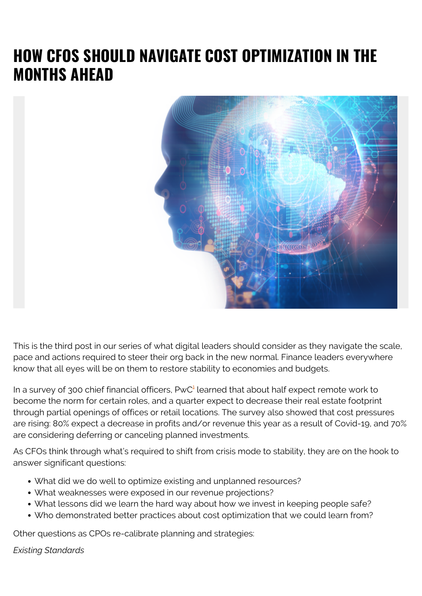## **HOW CFOS SHOULD NAVIGATE COST OPTIMIZATION IN THE MONTHS AHEAD**



This is the third post in our series of what digital leaders should consider as they navigate the scale, pace and actions required to steer their org back in the new normal. Finance leaders everywhere know that all eyes will be on them to restore stability to economies and budgets.

In a survey of 300 chief financial officers,  $PWC<sup>1</sup>$  $PWC<sup>1</sup>$  $PWC<sup>1</sup>$  learned that about half expect remote work to become the norm for certain roles, and a quarter expect to decrease their real estate footprint through partial openings of offices or retail locations. The survey also showed that cost pressures are rising: 80% expect a decrease in profits and/or revenue this year as a result of Covid-19, and 70% are considering deferring or canceling planned investments.

As CFOs think through what's required to shift from crisis mode to stability, they are on the hook to answer significant questions:

- What did we do well to optimize existing and unplanned resources?
- What weaknesses were exposed in our revenue projections?
- What lessons did we learn the hard way about how we invest in keeping people safe?
- Who demonstrated better practices about cost optimization that we could learn from?

Other questions as CPOs re-calibrate planning and strategies:

## *Existing Standards*